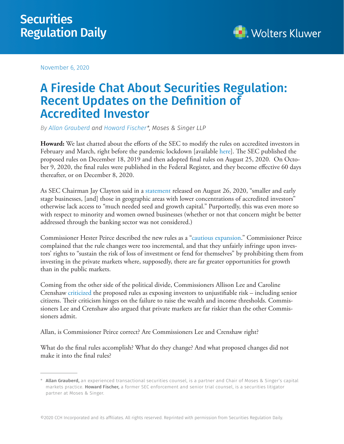November 6, 2020



## A Fireside Chat About Securities Regulation: Recent Updates on the Definition of Accredited Investor

*By Allan Grauberd and Howard Fischer\*, Moses & Singer LLP*

**Howard:** We last chatted about the efforts of the SEC to modify the rules on accredited investors in February and March, right before the pandemic lockdown [available here]. The SEC published the proposed rules on December 18, 2019 and then adopted final rules on August 25, 2020. On October 9, 2020, the final rules were published in the Federal Register, and they become effective 60 days thereafter, or on December 8, 2020.

As SEC Chairman Jay Clayton said in a statement released on August 26, 2020, "smaller and early stage businesses, [and] those in geographic areas with lower concentrations of accredited investors" otherwise lack access to "much needed seed and growth capital." Purportedly, this was even more so with respect to minority and women owned businesses (whether or not that concern might be better addressed through the banking sector was not considered.)

Commissioner Hester Peirce described the new rules as a "cautious expansion." Commissioner Peirce complained that the rule changes were too incremental, and that they unfairly infringe upon investors' rights to "sustain the risk of loss of investment or fend for themselves" by prohibiting them from investing in the private markets where, supposedly, there are far greater opportunities for growth than in the public markets.

Coming from the other side of the political divide, Commissioners Allison Lee and Caroline Crenshaw criticized the proposed rules as exposing investors to unjustifiable risk – including senior citizens. Their criticism hinges on the failure to raise the wealth and income thresholds. Commissioners Lee and Crenshaw also argued that private markets are far riskier than the other Commissioners admit.

Allan, is Commissioner Peirce correct? Are Commissioners Lee and Crenshaw right?

What do the final rules accomplish? What do they change? And what proposed changes did not make it into the final rules?

<sup>\*</sup>Allan Grauberd, an experienced transactional securities counsel, is a partner and Chair of Moses & Singer's capital markets practice. Howard Fischer, a former SEC enforcement and senior trial counsel, is a securities litigator partner at Moses & Singer.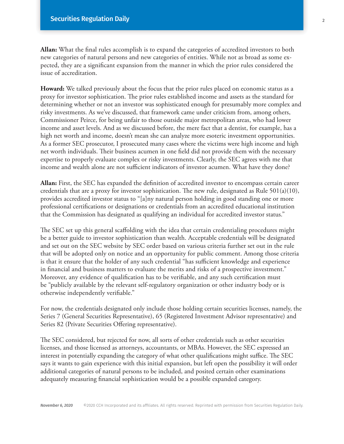**Allan:** What the final rules accomplish is to expand the categories of accredited investors to both new categories of natural persons and new categories of entities. While not as broad as some expected, they are a significant expansion from the manner in which the prior rules considered the issue of accreditation.

**Howard:** We talked previously about the focus that the prior rules placed on economic status as a proxy for investor sophistication. The prior rules established income and assets as the standard for determining whether or not an investor was sophisticated enough for presumably more complex and risky investments. As we've discussed, that framework came under criticism from, among others, Commissioner Peirce, for being unfair to those outside major metropolitan areas, who had lower income and asset levels. And as we discussed before, the mere fact that a dentist, for example, has a high net worth and income, doesn't mean she can analyze more esoteric investment opportunities. As a former SEC prosecutor, I prosecuted many cases where the victims were high income and high net worth individuals. Their business acumen in one field did not provide them with the necessary expertise to properly evaluate complex or risky investments. Clearly, the SEC agrees with me that income and wealth alone are not sufficient indicators of investor acumen. What have they done?

**Allan:** First, the SEC has expanded the definition of accredited investor to encompass certain career credentials that are a proxy for investor sophistication. The new rule, designated as Rule  $501(a)(10)$ , provides accredited investor status to "[a]ny natural person holding in good standing one or more professional certifications or designations or credentials from an accredited educational institution that the Commission has designated as qualifying an individual for accredited investor status."

The SEC set up this general scaffolding with the idea that certain credentialing procedures might be a better guide to investor sophistication than wealth. Acceptable credentials will be designated and set out on the SEC website by SEC order based on various criteria further set out in the rule that will be adopted only on notice and an opportunity for public comment. Among those criteria is that it ensure that the holder of any such credential "has sufficient knowledge and experience in financial and business matters to evaluate the merits and risks of a prospective investment." Moreover, any evidence of qualification has to be verifiable, and any such certification must be "publicly available by the relevant self-regulatory organization or other industry body or is otherwise independently verifiable."

For now, the credentials designated only include those holding certain securities licenses, namely, the Series 7 (General Securities Representative), 65 (Registered Investment Advisor representative) and Series 82 (Private Securities Offering representative).

The SEC considered, but rejected for now, all sorts of other credentials such as other securities licenses, and those licensed as attorneys, accountants, or MBAs. However, the SEC expressed an interest in potentially expanding the category of what other qualifications might suffice. The SEC says it wants to gain experience with this initial expansion, but left open the possibility it will order additional categories of natural persons to be included, and posited certain other examinations adequately measuring financial sophistication would be a possible expanded category.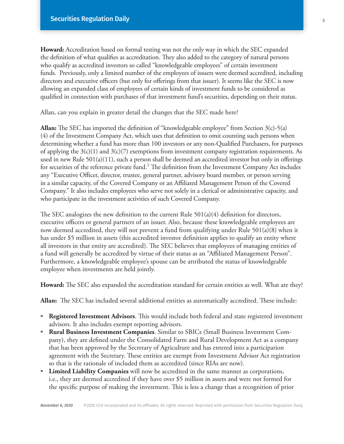**Howard:** Accreditation based on formal testing was not the only way in which the SEC expanded the definition of what qualifies as accreditation. They also added to the category of natural persons who qualify as accredited investors so called "knowledgeable employees" of certain investment funds. Previously, only a limited number of the employees of issuers were deemed accredited, including directors and executive officers (but only for offerings from that issuer). It seems like the SEC is now allowing an expanded class of employees of certain kinds of investment funds to be considered as qualified in connection with purchases of that investment fund's securities, depending on their status.

Allan, can you explain in greater detail the changes that the SEC made here?

**Allan:** The SEC has imported the definition of "knowledgeable employee" from Section 3(c)-5(a) (4) of the Investment Company Act, which uses that definition to omit counting such persons when determining whether a fund has more than 100 investors or any non-Qualified Purchasers, for purposes of applying the  $3(c)(1)$  and  $3(c)(7)$  exemptions from investment company registration requirements. As used in new Rule 501(a)(11), such a person shall be deemed an accredited investor but only in offerings for securities of the reference private fund.<sup>1</sup> The definition from the Investment Company Act includes any "Executive Officer, director, trustee, general partner, advisory board member, or person serving in a similar capacity, of the Covered Company or an Affiliated Management Person of the Covered Company." It also includes employees who serve not solely in a clerical or administrative capacity, and who participate in the investment activities of such Covered Company.

The SEC analogizes the new definition to the current Rule  $501(a)(4)$  definition for directors, executive officers or general partners of an issuer. Also, because these knowledgeable employees are now deemed accredited, they will not prevent a fund from qualifying under Rule 501(a)(8) when it has under \$5 million in assets (this accredited investor definition applies to qualify an entity where all investors in that entity are accredited). The SEC believes that employees of managing entities of a fund will generally be accredited by virtue of their status as an "Affiliated Management Person". Furthermore, a knowledgeable employee's spouse can be attributed the status of knowledgeable employee when investments are held jointly.

**Howard:** The SEC also expanded the accreditation standard for certain entities as well. What are they?

**Allan:** The SEC has included several additional entities as automatically accredited. These include:

- **Registered Investment Advisors**. This would include both federal and state registered investment advisors. It also includes exempt reporting advisors.
- **Rural Business Investment Companies**. Similar to SBICs (Small Business Investment Company), they are defined under the Consolidated Farm and Rural Development Act as a company that has been approved by the Secretary of Agriculture and has entered into a participation agreement with the Secretary. These entities are exempt from Investment Advisor Act registration so that is the rationale of included them as accredited (since RIAs are now).
- **Limited Liability Companies** will now be accredited in the same manner as corporations, i.e., they are deemed accredited if they have over \$5 million in assets and were not formed for the specific purpose of making the investment. This is less a change than a recognition of prior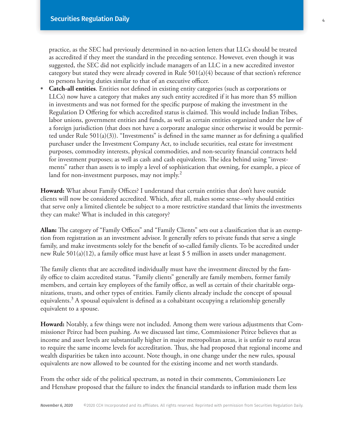practice, as the SEC had previously determined in no-action letters that LLCs should be treated as accredited if they meet the standard in the preceding sentence. However, even though it was suggested, the SEC did not explicitly include managers of an LLC in a new accredited investor category but stated they were already covered in Rule  $501(a)(4)$  because of that section's reference to persons having duties similar to that of an executive officer.

**• Catch-all entities**. Entities not defined in existing entity categories (such as corporations or LLCs) now have a category that makes any such entity accredited if it has more than \$5 million in investments and was not formed for the specific purpose of making the investment in the Regulation D Offering for which accredited status is claimed. This would include Indian Tribes, labor unions, government entities and funds, as well as certain entities organized under the law of a foreign jurisdiction (that does not have a corporate analogue since otherwise it would be permitted under Rule 501(a)(3)). "Investments" is defined in the same manner as for defining a qualified purchaser under the Investment Company Act, to include securities, real estate for investment purposes, commodity interests, physical commodities, and non-security financial contracts held for investment purposes; as well as cash and cash equivalents. The idea behind using "investments" rather than assets is to imply a level of sophistication that owning, for example, a piece of land for non-investment purposes, may not imply. $^2$ 

**Howard:** What about Family Offices? I understand that certain entities that don't have outside clients will now be considered accredited. Which, after all, makes some sense--why should entities that serve only a limited clientele be subject to a more restrictive standard that limits the investments they can make? What is included in this category?

**Allan:** The category of "Family Offices" and "Family Clients" sets out a classification that is an exemption from registration as an investment advisor. It generally refers to private funds that serve a single family, and make investments solely for the benefit of so-called family clients. To be accredited under new Rule 501(a)(12), a family office must have at least \$ 5 million in assets under management.

The family clients that are accredited individually must have the investment directed by the family office to claim accredited status. "Family clients" generally are family members, former family members, and certain key employees of the family office, as well as certain of their charitable organizations, trusts, and other types of entities. Family clients already include the concept of spousal equivalents.<sup>3</sup> A spousal equivalent is defined as a cohabitant occupying a relationship generally equivalent to a spouse.

**Howard:** Notably, a few things were not included. Among them were various adjustments that Commissioner Peirce had been pushing. As we discussed last time, Commissioner Peirce believes that as income and asset levels are substantially higher in major metropolitan areas, it is unfair to rural areas to require the same income levels for accreditation. Thus, she had proposed that regional income and wealth disparities be taken into account. Note though, in one change under the new rules, spousal equivalents are now allowed to be counted for the existing income and net worth standards.

From the other side of the political spectrum, as noted in their comments, Commissioners Lee and Henshaw proposed that the failure to index the financial standards to inflation made them less